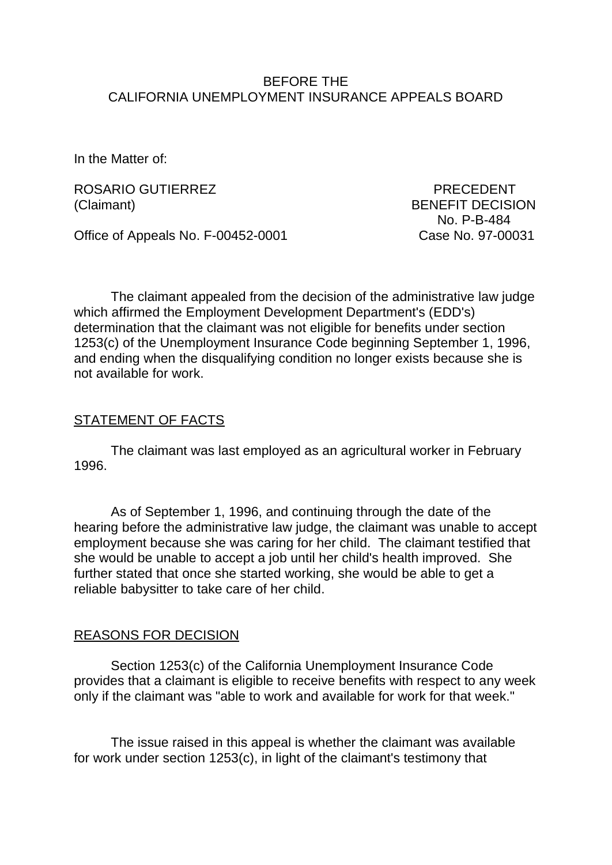#### BEFORE THE CALIFORNIA UNEMPLOYMENT INSURANCE APPEALS BOARD

In the Matter of:

ROSARIO GUTIERREZ PRECEDENT (Claimant) BENEFIT DECISION

Office of Appeals No. F-00452-0001 Case No. 97-00031

No. P-B-484

The claimant appealed from the decision of the administrative law judge which affirmed the Employment Development Department's (EDD's) determination that the claimant was not eligible for benefits under section 1253(c) of the Unemployment Insurance Code beginning September 1, 1996, and ending when the disqualifying condition no longer exists because she is not available for work.

### STATEMENT OF FACTS

The claimant was last employed as an agricultural worker in February 1996.

As of September 1, 1996, and continuing through the date of the hearing before the administrative law judge, the claimant was unable to accept employment because she was caring for her child. The claimant testified that she would be unable to accept a job until her child's health improved. She further stated that once she started working, she would be able to get a reliable babysitter to take care of her child.

# REASONS FOR DECISION

Section 1253(c) of the California Unemployment Insurance Code provides that a claimant is eligible to receive benefits with respect to any week only if the claimant was "able to work and available for work for that week."

The issue raised in this appeal is whether the claimant was available for work under section 1253(c), in light of the claimant's testimony that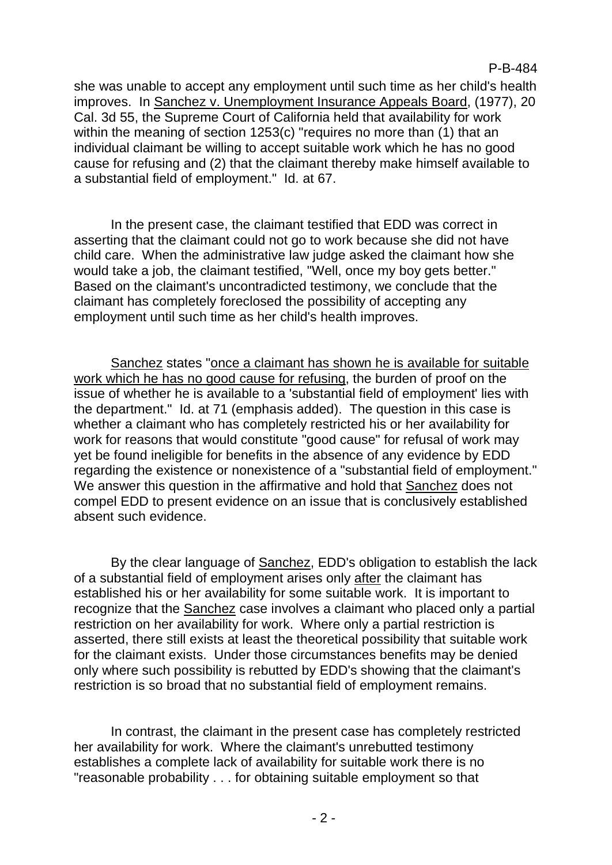she was unable to accept any employment until such time as her child's health improves. In Sanchez v. Unemployment Insurance Appeals Board, (1977), 20 Cal. 3d 55, the Supreme Court of California held that availability for work within the meaning of section 1253(c) "requires no more than (1) that an individual claimant be willing to accept suitable work which he has no good cause for refusing and (2) that the claimant thereby make himself available to a substantial field of employment." Id. at 67.

In the present case, the claimant testified that EDD was correct in asserting that the claimant could not go to work because she did not have child care. When the administrative law judge asked the claimant how she would take a job, the claimant testified, "Well, once my boy gets better." Based on the claimant's uncontradicted testimony, we conclude that the claimant has completely foreclosed the possibility of accepting any employment until such time as her child's health improves.

Sanchez states "once a claimant has shown he is available for suitable work which he has no good cause for refusing, the burden of proof on the issue of whether he is available to a 'substantial field of employment' lies with the department." Id. at 71 (emphasis added). The question in this case is whether a claimant who has completely restricted his or her availability for work for reasons that would constitute "good cause" for refusal of work may yet be found ineligible for benefits in the absence of any evidence by EDD regarding the existence or nonexistence of a "substantial field of employment." We answer this question in the affirmative and hold that Sanchez does not compel EDD to present evidence on an issue that is conclusively established absent such evidence.

By the clear language of Sanchez, EDD's obligation to establish the lack of a substantial field of employment arises only after the claimant has established his or her availability for some suitable work. It is important to recognize that the Sanchez case involves a claimant who placed only a partial restriction on her availability for work. Where only a partial restriction is asserted, there still exists at least the theoretical possibility that suitable work for the claimant exists. Under those circumstances benefits may be denied only where such possibility is rebutted by EDD's showing that the claimant's restriction is so broad that no substantial field of employment remains.

In contrast, the claimant in the present case has completely restricted her availability for work. Where the claimant's unrebutted testimony establishes a complete lack of availability for suitable work there is no "reasonable probability . . . for obtaining suitable employment so that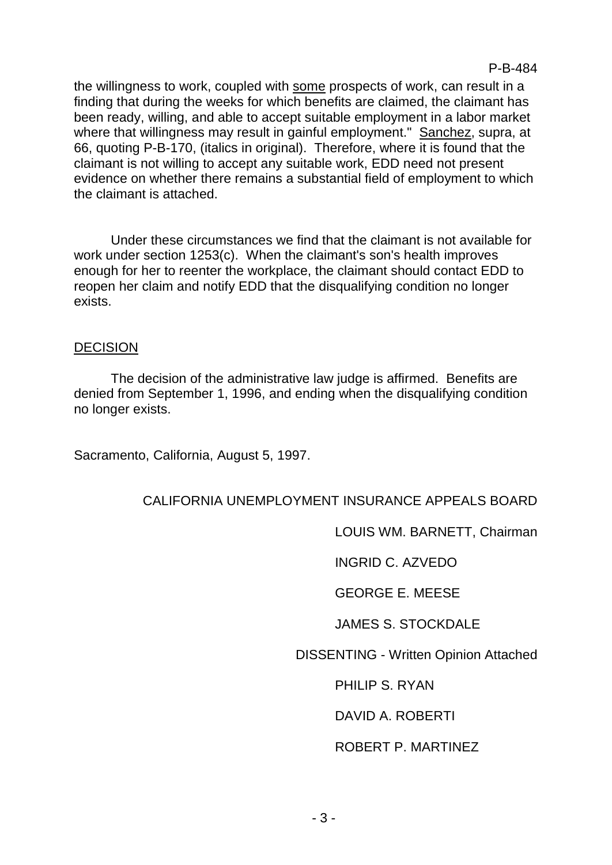P-B-484

the willingness to work, coupled with some prospects of work, can result in a finding that during the weeks for which benefits are claimed, the claimant has been ready, willing, and able to accept suitable employment in a labor market where that willingness may result in gainful employment." Sanchez, supra, at 66, quoting P-B-170, (italics in original). Therefore, where it is found that the claimant is not willing to accept any suitable work, EDD need not present evidence on whether there remains a substantial field of employment to which the claimant is attached.

Under these circumstances we find that the claimant is not available for work under section 1253(c). When the claimant's son's health improves enough for her to reenter the workplace, the claimant should contact EDD to reopen her claim and notify EDD that the disqualifying condition no longer exists.

#### **DECISION**

The decision of the administrative law judge is affirmed. Benefits are denied from September 1, 1996, and ending when the disqualifying condition no longer exists.

Sacramento, California, August 5, 1997.

# CALIFORNIA UNEMPLOYMENT INSURANCE APPEALS BOARD

LOUIS WM. BARNETT, Chairman

INGRID C. AZVEDO

GEORGE E. MEESE

JAMES S. STOCKDALE

DISSENTING - Written Opinion Attached

PHILIP S. RYAN

DAVID A. ROBERTI

#### ROBERT P. MARTINEZ